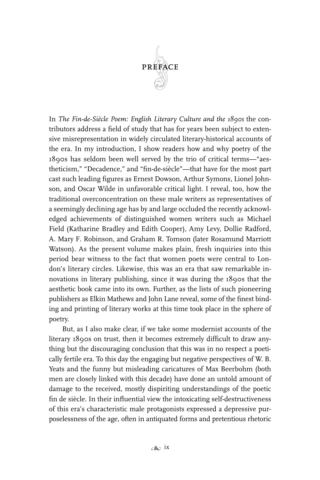

In *The Fin-de-Siècle Poem: English Literary Culture and the 1890s* the contributors address a field of study that has for years been subject to extensive misrepresentation in widely circulated literary-historical accounts of the era. In my introduction, I show readers how and why poetry of the 1890s has seldom been well served by the trio of critical terms—"aestheticism," "Decadence," and "fin-de-siècle"—that have for the most part cast such leading figures as Ernest Dowson, Arthur Symons, Lionel Johnson, and Oscar Wilde in unfavorable critical light. I reveal, too, how the traditional overconcentration on these male writers as representatives of a seemingly declining age has by and large occluded the recently acknowledged achievements of distinguished women writers such as Michael Field (Katharine Bradley and Edith Cooper), Amy Levy, Dollie Radford, A. Mary F. Robinson, and Graham R. Tomson (later Rosamund Marriott Watson). As the present volume makes plain, fresh inquiries into this period bear witness to the fact that women poets were central to London's literary circles. Likewise, this was an era that saw remarkable innovations in literary publishing, since it was during the 1890s that the aesthetic book came into its own. Further, as the lists of such pioneering publishers as Elkin Mathews and John Lane reveal, some of the finest binding and printing of literary works at this time took place in the sphere of poetry.

But, as I also make clear, if we take some modernist accounts of the literary 1890s on trust, then it becomes extremely difficult to draw anything but the discouraging conclusion that this was in no respect a poetically fertile era. To this day the engaging but negative perspectives of W. B. Yeats and the funny but misleading caricatures of Max Beerbohm (both men are closely linked with this decade) have done an untold amount of damage to the received, mostly dispiriting understandings of the poetic fin de siècle. In their influential view the intoxicating self-destructiveness of this era's characteristic male protagonists expressed a depressive purposelessness of the age, often in antiquated forms and pretentious rhetoric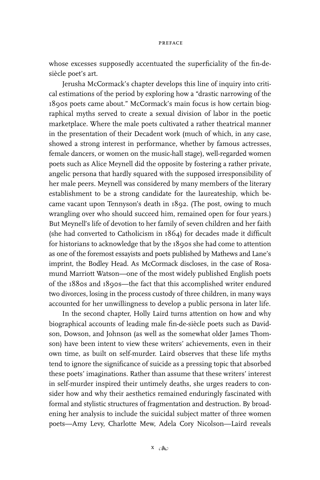whose excesses supposedly accentuated the superficiality of the fin-desiècle poet's art.

Jerusha McCormack's chapter develops this line of inquiry into critical estimations of the period by exploring how a "drastic narrowing of the 1890s poets came about." McCormack's main focus is how certain biographical myths served to create a sexual division of labor in the poetic marketplace. Where the male poets cultivated a rather theatrical manner in the presentation of their Decadent work (much of which, in any case, showed a strong interest in performance, whether by famous actresses, female dancers, or women on the music-hall stage), well-regarded women poets such as Alice Meynell did the opposite by fostering a rather private, angelic persona that hardly squared with the supposed irresponsibility of her male peers. Meynell was considered by many members of the literary establishment to be a strong candidate for the laureateship, which became vacant upon Tennyson's death in 1892. (The post, owing to much wrangling over who should succeed him, remained open for four years.) But Meynell's life of devotion to her family of seven children and her faith (she had converted to Catholicism in 1864) for decades made it difficult for historians to acknowledge that by the 1890s she had come to attention as one of the foremost essayists and poets published by Mathews and Lane's imprint, the Bodley Head. As McCormack discloses, in the case of Rosamund Marriott Watson—one of the most widely published English poets of the 1880s and 1890s—the fact that this accomplished writer endured two divorces, losing in the process custody of three children, in many ways accounted for her unwillingness to develop a public persona in later life.

In the second chapter, Holly Laird turns attention on how and why biographical accounts of leading male fin-de-siècle poets such as Davidson, Dowson, and Johnson (as well as the somewhat older James Thomson) have been intent to view these writers' achievements, even in their own time, as built on self-murder. Laird observes that these life myths tend to ignore the significance of suicide as a pressing topic that absorbed these poets' imaginations. Rather than assume that these writers' interest in self-murder inspired their untimely deaths, she urges readers to consider how and why their aesthetics remained enduringly fascinated with formal and stylistic structures of fragmentation and destruction. By broadening her analysis to include the suicidal subject matter of three women poets—Amy Levy, Charlotte Mew, Adela Cory Nicolson—Laird reveals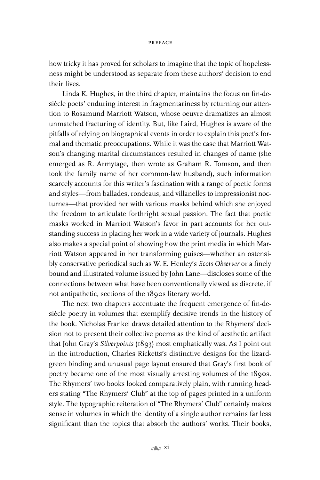how tricky it has proved for scholars to imagine that the topic of hopelessness might be understood as separate from these authors' decision to end their lives.

Linda K. Hughes, in the third chapter, maintains the focus on fin-desiècle poets' enduring interest in fragmentariness by returning our attention to Rosamund Marriott Watson, whose oeuvre dramatizes an almost unmatched fracturing of identity. But, like Laird, Hughes is aware of the pitfalls of relying on biographical events in order to explain this poet's formal and thematic preoccupations. While it was the case that Marriott Watson's changing marital circumstances resulted in changes of name (she emerged as R. Armytage, then wrote as Graham R. Tomson, and then took the family name of her common-law husband), such information scarcely accounts for this writer's fascination with a range of poetic forms and styles—from ballades, rondeaus, and villanelles to impressionist nocturnes—that provided her with various masks behind which she enjoyed the freedom to articulate forthright sexual passion. The fact that poetic masks worked in Marriott Watson's favor in part accounts for her outstanding success in placing her work in a wide variety of journals. Hughes also makes a special point of showing how the print media in which Marriott Watson appeared in her transforming guises—whether an ostensibly conservative periodical such as W. E. Henley's *Scots Observer* or a finely bound and illustrated volume issued by John Lane—discloses some of the connections between what have been conventionally viewed as discrete, if not antipathetic, sections of the 1890s literary world.

The next two chapters accentuate the frequent emergence of fin-desiècle poetry in volumes that exemplify decisive trends in the history of the book. Nicholas Frankel draws detailed attention to the Rhymers' decision not to present their collective poems as the kind of aesthetic artifact that John Gray's *Silverpoints* (1893) most emphatically was. As I point out in the introduction, Charles Ricketts's distinctive designs for the lizardgreen binding and unusual page layout ensured that Gray's first book of poetry became one of the most visually arresting volumes of the 1890s. The Rhymers' two books looked comparatively plain, with running headers stating "The Rhymers' Club" at the top of pages printed in a uniform style. The typographic reiteration of "The Rhymers' Club" certainly makes sense in volumes in which the identity of a single author remains far less significant than the topics that absorb the authors' works. Their books,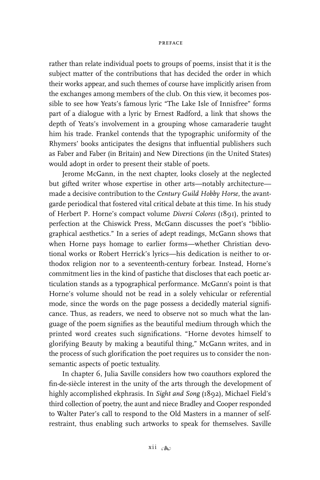rather than relate individual poets to groups of poems, insist that it is the subject matter of the contributions that has decided the order in which their works appear, and such themes of course have implicitly arisen from the exchanges among members of the club. On this view, it becomes possible to see how Yeats's famous lyric "The Lake Isle of Innisfree" forms part of a dialogue with a lyric by Ernest Radford, a link that shows the depth of Yeats's involvement in a grouping whose camaraderie taught him his trade. Frankel contends that the typographic uniformity of the Rhymers' books anticipates the designs that influential publishers such as Faber and Faber (in Britain) and New Directions (in the United States) would adopt in order to present their stable of poets.

Jerome McGann, in the next chapter, looks closely at the neglected but gifted writer whose expertise in other arts—notably architecture made a decisive contribution to the *Century Guild Hobby Horse,* the avantgarde periodical that fostered vital critical debate at this time. In his study of Herbert P. Horne's compact volume *Diversi Colores* (1891), printed to perfection at the Chiswick Press, McGann discusses the poet's "bibliographical aesthetics." In a series of adept readings, McGann shows that when Horne pays homage to earlier forms—whether Christian devotional works or Robert Herrick's lyrics—his dedication is neither to orthodox religion nor to a seventeenth-century forbear. Instead, Horne's commitment lies in the kind of pastiche that discloses that each poetic articulation stands as a typographical performance. McGann's point is that Horne's volume should not be read in a solely vehicular or referential mode, since the words on the page possess a decidedly material significance. Thus, as readers, we need to observe not so much what the language of the poem signifies as the beautiful medium through which the printed word creates such significations. "Horne devotes himself to glorifying Beauty by making a beautiful thing," McGann writes, and in the process of such glorification the poet requires us to consider the nonsemantic aspects of poetic textuality.

In chapter 6, Julia Saville considers how two coauthors explored the fin-de-siècle interest in the unity of the arts through the development of highly accomplished ekphrasis. In *Sight and Song* (1892), Michael Field's third collection of poetry, the aunt and niece Bradley and Cooper responded to Walter Pater's call to respond to the Old Masters in a manner of selfrestraint, thus enabling such artworks to speak for themselves. Saville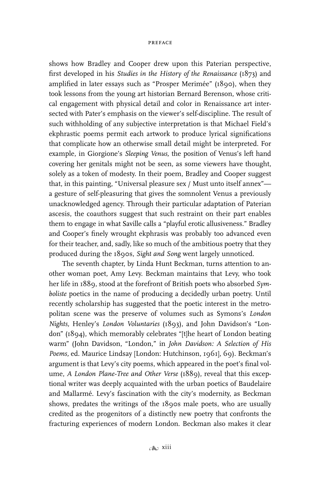shows how Bradley and Cooper drew upon this Paterian perspective, first developed in his *Studies in the History of the Renaissance* (1873) and amplified in later essays such as "Prosper Merimée" (1890), when they took lessons from the young art historian Bernard Berenson, whose critical engagement with physical detail and color in Renaissance art intersected with Pater's emphasis on the viewer's self-discipline. The result of such withholding of any subjective interpretation is that Michael Field's ekphrastic poems permit each artwork to produce lyrical significations that complicate how an otherwise small detail might be interpreted. For example, in Giorgione's *Sleeping Venus,* the position of Venus's left hand covering her genitals might not be seen, as some viewers have thought, solely as a token of modesty. In their poem, Bradley and Cooper suggest that, in this painting, "Universal pleasure sex / Must unto itself annex" a gesture of self-pleasuring that gives the somnolent Venus a previously unacknowledged agency. Through their particular adaptation of Paterian ascesis, the coauthors suggest that such restraint on their part enables them to engage in what Saville calls a "playful erotic allusiveness." Bradley and Cooper's finely wrought ekphrasis was probably too advanced even for their teacher, and, sadly, like so much of the ambitious poetry that they produced during the 1890s, *Sight and Song* went largely unnoticed.

The seventh chapter, by Linda Hunt Beckman, turns attention to another woman poet, Amy Levy. Beckman maintains that Levy, who took her life in 1889, stood at the forefront of British poets who absorbed *Symboliste* poetics in the name of producing a decidedly urban poetry. Until recently scholarship has suggested that the poetic interest in the metropolitan scene was the preserve of volumes such as Symons's *London Nights,* Henley's *London Voluntaries* (1893), and John Davidson's "London" (1894), which memorably celebrates "[t]he heart of London beating warm" (John Davidson, "London," in *John Davidson: A Selection of His Poems,* ed. Maurice Lindsay [London: Hutchinson, 1961], 69). Beckman's argument is that Levy's city poems, which appeared in the poet's final volume, *A London Plane-Tree and Other Verse* (1889), reveal that this exceptional writer was deeply acquainted with the urban poetics of Baudelaire and Mallarmé. Levy's fascination with the city's modernity, as Beckman shows, predates the writings of the 1890s male poets, who are usually credited as the progenitors of a distinctly new poetry that confronts the fracturing experiences of modern London. Beckman also makes it clear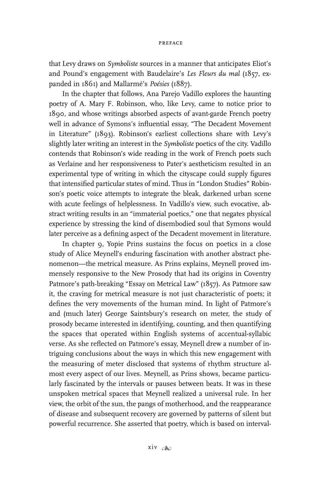that Levy draws on *Symboliste* sources in a manner that anticipates Eliot's and Pound's engagement with Baudelaire's *Les Fleurs du mal* (1857, expanded in 1861) and Mallarmé's *Poésies* (1887).

In the chapter that follows, Ana Parejo Vadillo explores the haunting poetry of A. Mary F. Robinson, who, like Levy, came to notice prior to 1890, and whose writings absorbed aspects of avant-garde French poetry well in advance of Symons's influential essay, "The Decadent Movement in Literature" (1893). Robinson's earliest collections share with Levy's slightly later writing an interest in the *Symboliste* poetics of the city. Vadillo contends that Robinson's wide reading in the work of French poets such as Verlaine and her responsiveness to Pater's aestheticism resulted in an experimental type of writing in which the cityscape could supply figures that intensified particular states of mind. Thus in "London Studies" Robinson's poetic voice attempts to integrate the bleak, darkened urban scene with acute feelings of helplessness. In Vadillo's view, such evocative, abstract writing results in an "immaterial poetics," one that negates physical experience by stressing the kind of disembodied soul that Symons would later perceive as a defining aspect of the Decadent movement in literature.

In chapter 9, Yopie Prins sustains the focus on poetics in a close study of Alice Meynell's enduring fascination with another abstract phenomenon—the metrical measure. As Prins explains, Meynell proved immensely responsive to the New Prosody that had its origins in Coventry Patmore's path-breaking "Essay on Metrical Law" (1857). As Patmore saw it, the craving for metrical measure is not just characteristic of poets; it defines the very movements of the human mind. In light of Patmore's and (much later) George Saintsbury's research on meter, the study of prosody became interested in identifying, counting, and then quantifying the spaces that operated within English systems of accentual-syllabic verse. As she reflected on Patmore's essay, Meynell drew a number of intriguing conclusions about the ways in which this new engagement with the measuring of meter disclosed that systems of rhythm structure almost every aspect of our lives. Meynell, as Prins shows, became particularly fascinated by the intervals or pauses between beats. It was in these unspoken metrical spaces that Meynell realized a universal rule. In her view, the orbit of the sun, the pangs of motherhood, and the reappearance of disease and subsequent recovery are governed by patterns of silent but powerful recurrence. She asserted that poetry, which is based on interval-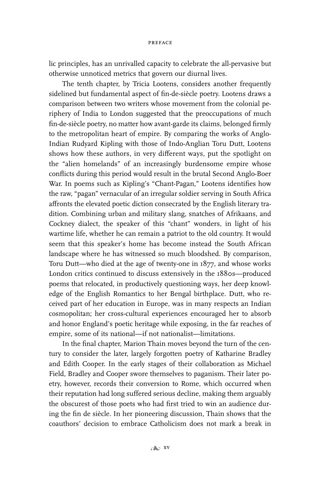lic principles, has an unrivalled capacity to celebrate the all-pervasive but otherwise unnoticed metrics that govern our diurnal lives.

The tenth chapter, by Tricia Lootens, considers another frequently sidelined but fundamental aspect of fin-de-siècle poetry. Lootens draws a comparison between two writers whose movement from the colonial periphery of India to London suggested that the preoccupations of much fin-de-siècle poetry, no matter how avant-garde its claims, belonged firmly to the metropolitan heart of empire. By comparing the works of Anglo-Indian Rudyard Kipling with those of Indo-Anglian Toru Dutt, Lootens shows how these authors, in very different ways, put the spotlight on the "alien homelands" of an increasingly burdensome empire whose conflicts during this period would result in the brutal Second Anglo-Boer War. In poems such as Kipling's "Chant-Pagan," Lootens identifies how the raw, "pagan" vernacular of an irregular soldier serving in South Africa affronts the elevated poetic diction consecrated by the English literary tradition. Combining urban and military slang, snatches of Afrikaans, and Cockney dialect, the speaker of this "chant" wonders, in light of his wartime life, whether he can remain a patriot to the old country. It would seem that this speaker's home has become instead the South African landscape where he has witnessed so much bloodshed. By comparison, Toru Dutt—who died at the age of twenty-one in 1877, and whose works London critics continued to discuss extensively in the 1880s—produced poems that relocated, in productively questioning ways, her deep knowledge of the English Romantics to her Bengal birthplace. Dutt, who received part of her education in Europe, was in many respects an Indian cosmopolitan; her cross-cultural experiences encouraged her to absorb and honor England's poetic heritage while exposing, in the far reaches of empire, some of its national—if not nationalist—limitations.

In the final chapter, Marion Thain moves beyond the turn of the century to consider the later, largely forgotten poetry of Katharine Bradley and Edith Cooper. In the early stages of their collaboration as Michael Field, Bradley and Cooper swore themselves to paganism. Their later poetry, however, records their conversion to Rome, which occurred when their reputation had long suffered serious decline, making them arguably the obscurest of those poets who had first tried to win an audience during the fin de siècle. In her pioneering discussion, Thain shows that the coauthors' decision to embrace Catholicism does not mark a break in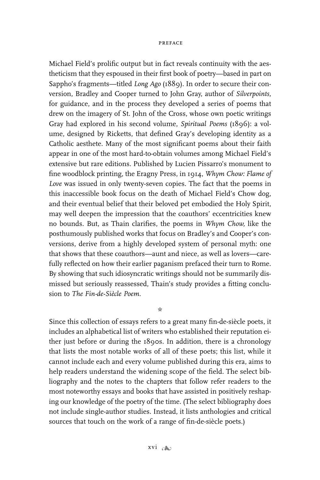Michael Field's prolific output but in fact reveals continuity with the aestheticism that they espoused in their first book of poetry—based in part on Sappho's fragments—titled *Long Ago* (1889). In order to secure their conversion, Bradley and Cooper turned to John Gray, author of *Silverpoints,* for guidance, and in the process they developed a series of poems that drew on the imagery of St. John of the Cross, whose own poetic writings Gray had explored in his second volume, *Spiritual Poems* (1896): a volume, designed by Ricketts, that defined Gray's developing identity as a Catholic aesthete. Many of the most significant poems about their faith appear in one of the most hard-to-obtain volumes among Michael Field's extensive but rare editions. Published by Lucien Pissarro's monument to fine woodblock printing, the Eragny Press, in 1914, *Whym Chow: Flame of Love* was issued in only twenty-seven copies. The fact that the poems in this inaccessible book focus on the death of Michael Field's Chow dog, and their eventual belief that their beloved pet embodied the Holy Spirit, may well deepen the impression that the coauthors' eccentricities knew no bounds. But, as Thain clarifies, the poems in *Whym Chow,* like the posthumously published works that focus on Bradley's and Cooper's conversions, derive from a highly developed system of personal myth: one that shows that these coauthors—aunt and niece, as well as lovers—carefully reflected on how their earlier paganism prefaced their turn to Rome. By showing that such idiosyncratic writings should not be summarily dismissed but seriously reassessed, Thain's study provides a fitting conclusion to *The Fin-de-Siècle Poem.*

\*

Since this collection of essays refers to a great many fin-de-siècle poets, it includes an alphabetical list of writers who established their reputation either just before or during the 1890s. In addition, there is a chronology that lists the most notable works of all of these poets; this list, while it cannot include each and every volume published during this era, aims to help readers understand the widening scope of the field. The select bibliography and the notes to the chapters that follow refer readers to the most noteworthy essays and books that have assisted in positively reshaping our knowledge of the poetry of the time. (The select bibliography does not include single-author studies. Instead, it lists anthologies and critical sources that touch on the work of a range of fin-de-siècle poets.)